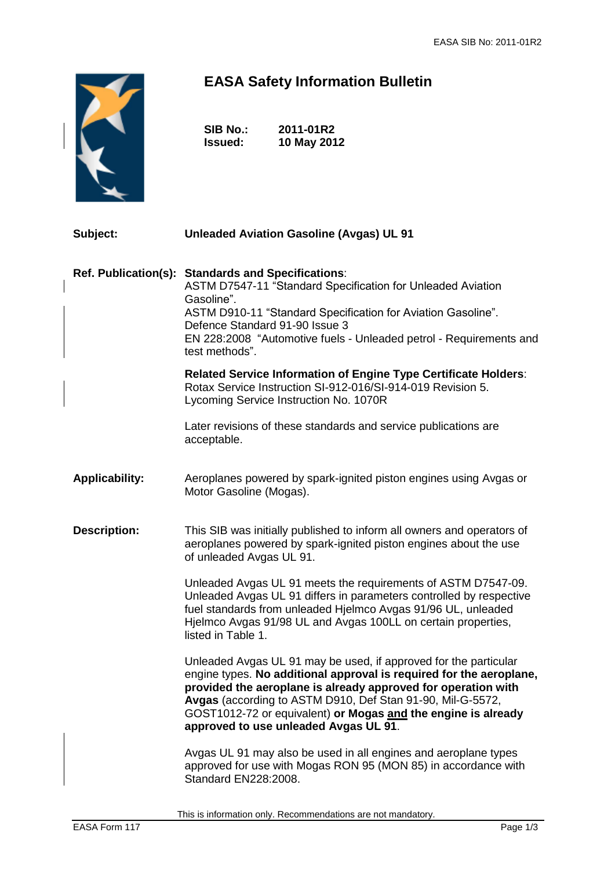

## **EASA Safety Information Bulletin**

| <b>SIB No.:</b> | 2011-01R2   |
|-----------------|-------------|
| <b>Issued:</b>  | 10 May 2012 |

| Subject:              | <b>Unleaded Aviation Gasoline (Avgas) UL 91</b>                                                                                                                                                                                                                                                                                                                                  |  |
|-----------------------|----------------------------------------------------------------------------------------------------------------------------------------------------------------------------------------------------------------------------------------------------------------------------------------------------------------------------------------------------------------------------------|--|
| Ref. Publication(s):  | <b>Standards and Specifications:</b><br>ASTM D7547-11 "Standard Specification for Unleaded Aviation<br>Gasoline".<br>ASTM D910-11 "Standard Specification for Aviation Gasoline".<br>Defence Standard 91-90 Issue 3<br>EN 228:2008 "Automotive fuels - Unleaded petrol - Requirements and<br>test methods".                                                                      |  |
|                       | <b>Related Service Information of Engine Type Certificate Holders:</b><br>Rotax Service Instruction SI-912-016/SI-914-019 Revision 5.<br>Lycoming Service Instruction No. 1070R                                                                                                                                                                                                  |  |
|                       | Later revisions of these standards and service publications are<br>acceptable.                                                                                                                                                                                                                                                                                                   |  |
| <b>Applicability:</b> | Aeroplanes powered by spark-ignited piston engines using Avgas or<br>Motor Gasoline (Mogas).                                                                                                                                                                                                                                                                                     |  |
| <b>Description:</b>   | This SIB was initially published to inform all owners and operators of<br>aeroplanes powered by spark-ignited piston engines about the use<br>of unleaded Avgas UL 91.                                                                                                                                                                                                           |  |
|                       | Unleaded Avgas UL 91 meets the requirements of ASTM D7547-09.<br>Unleaded Avgas UL 91 differs in parameters controlled by respective<br>fuel standards from unleaded Hjelmco Avgas 91/96 UL, unleaded<br>Hjelmco Avgas 91/98 UL and Avgas 100LL on certain properties,<br>listed in Table 1.                                                                                     |  |
|                       | Unleaded Avgas UL 91 may be used, if approved for the particular<br>engine types. No additional approval is required for the aeroplane,<br>provided the aeroplane is already approved for operation with<br>Avgas (according to ASTM D910, Def Stan 91-90, Mil-G-5572,<br>GOST1012-72 or equivalent) or Mogas and the engine is already<br>approved to use unleaded Avgas UL 91. |  |
|                       | Avgas UL 91 may also be used in all engines and aeroplane types<br>approved for use with Mogas RON 95 (MON 85) in accordance with<br>Standard EN228:2008.                                                                                                                                                                                                                        |  |

This is information only. Recommendations are not mandatory.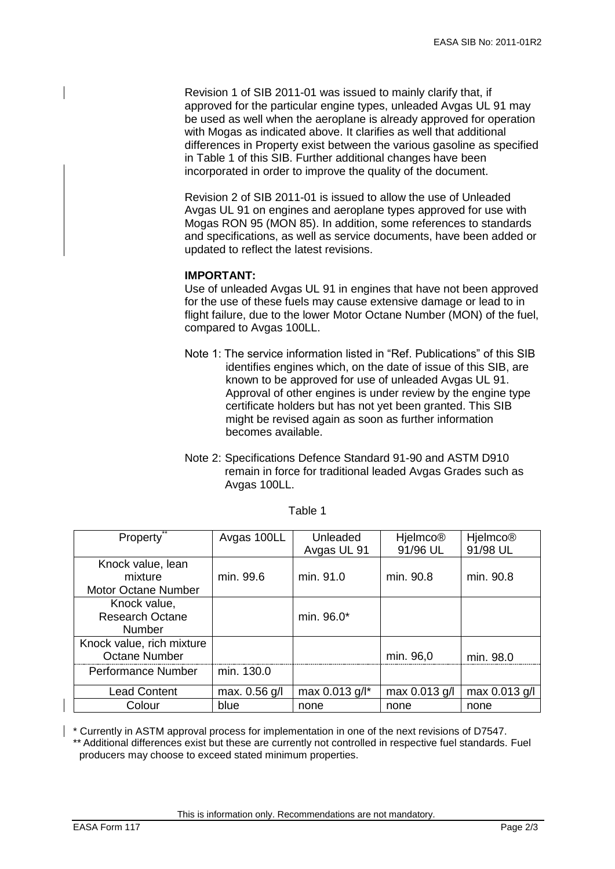Revision 1 of SIB 2011-01 was issued to mainly clarify that, if approved for the particular engine types, unleaded Avgas UL 91 may be used as well when the aeroplane is already approved for operation with Mogas as indicated above. It clarifies as well that additional differences in Property exist between the various gasoline as specified in Table 1 of this SIB. Further additional changes have been incorporated in order to improve the quality of the document.

Revision 2 of SIB 2011-01 is issued to allow the use of Unleaded Avgas UL 91 on engines and aeroplane types approved for use with Mogas RON 95 (MON 85). In addition, some references to standards and specifications, as well as service documents, have been added or updated to reflect the latest revisions.

## **IMPORTANT:**

Use of unleaded Avgas UL 91 in engines that have not been approved for the use of these fuels may cause extensive damage or lead to in flight failure, due to the lower Motor Octane Number (MON) of the fuel, compared to Avgas 100LL.

- Note 1: The service information listed in "Ref. Publications" of this SIB identifies engines which, on the date of issue of this SIB, are known to be approved for use of unleaded Avgas UL 91. Approval of other engines is under review by the engine type certificate holders but has not yet been granted. This SIB might be revised again as soon as further information becomes available.
- Note 2: Specifications Defence Standard 91-90 and ASTM D910 remain in force for traditional leaded Avgas Grades such as Avgas 100LL.

| <b>Property</b>                                            | Avgas 100LL   | Unleaded<br>Avgas UL 91 | <b>Hjelmco®</b><br>91/96 UL | <b>Hjelmco®</b><br>91/98 UL |
|------------------------------------------------------------|---------------|-------------------------|-----------------------------|-----------------------------|
| Knock value, lean<br>mixture<br><b>Motor Octane Number</b> | min. 99.6     | min. 91.0               | min. 90.8                   | min. 90.8                   |
| Knock value,<br><b>Research Octane</b><br><b>Number</b>    |               | min. 96.0*              |                             |                             |
| Knock value, rich mixture<br>Octane Number                 |               |                         | min. 96,0                   | min. 98.0                   |
| <b>Performance Number</b>                                  | min. 130.0    |                         |                             |                             |
| <b>Lead Content</b>                                        | max. 0.56 g/l | max 0.013 g/l*          | max 0.013 g/l               | max $0.013$ g/l             |
| Colour                                                     | blue          | none                    | none                        | none                        |

\* Currently in ASTM approval process for implementation in one of the next revisions of D7547. \*\* Additional differences exist but these are currently not controlled in respective fuel standards. Fuel producers may choose to exceed stated minimum properties.

This is information only. Recommendations are not mandatory.